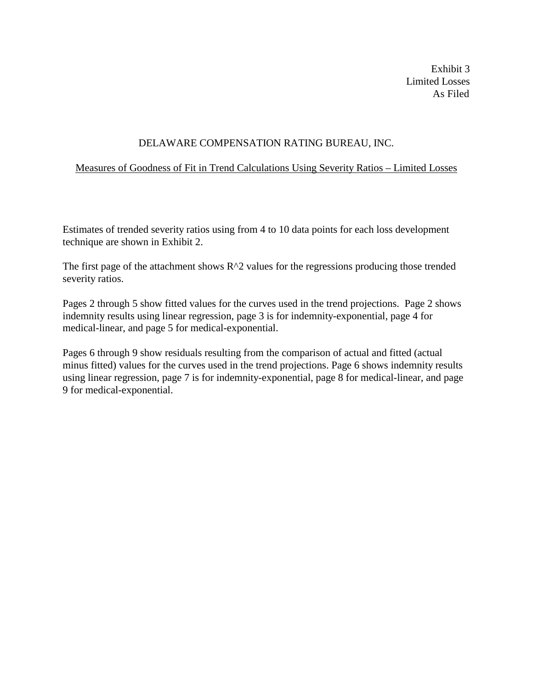Exhibit 3 Limited Losses As Filed

## DELAWARE COMPENSATION RATING BUREAU, INC.

## Measures of Goodness of Fit in Trend Calculations Using Severity Ratios – Limited Losses

Estimates of trended severity ratios using from 4 to 10 data points for each loss development technique are shown in Exhibit 2.

The first page of the attachment shows  $R^2$  values for the regressions producing those trended severity ratios.

Pages 2 through 5 show fitted values for the curves used in the trend projections. Page 2 shows indemnity results using linear regression, page 3 is for indemnity-exponential, page 4 for medical-linear, and page 5 for medical-exponential.

Pages 6 through 9 show residuals resulting from the comparison of actual and fitted (actual minus fitted) values for the curves used in the trend projections. Page 6 shows indemnity results using linear regression, page 7 is for indemnity-exponential, page 8 for medical-linear, and page 9 for medical-exponential.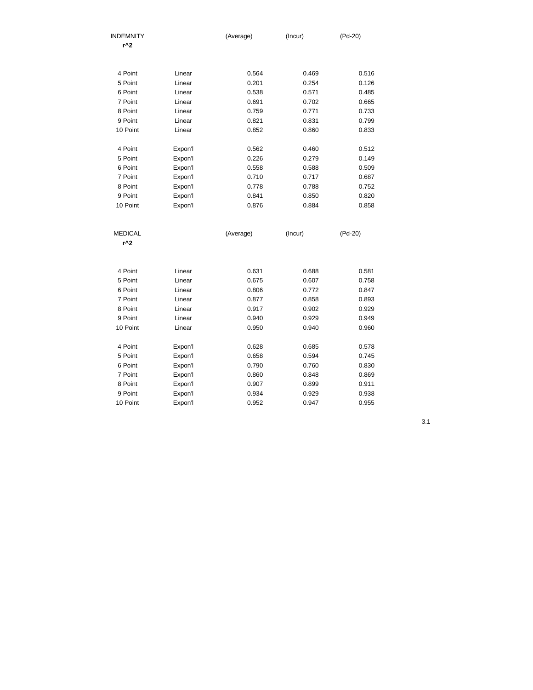| <b>INDEMNITY</b><br>r^2 |         | (Average) | (Incur) | (Pd-20) |
|-------------------------|---------|-----------|---------|---------|
|                         |         |           |         |         |
| 4 Point                 | Linear  | 0.564     | 0.469   | 0.516   |
| 5 Point                 | Linear  | 0.201     | 0.254   | 0.126   |
| 6 Point                 | Linear  | 0.538     | 0.571   | 0.485   |
| 7 Point                 | Linear  | 0.691     | 0.702   | 0.665   |
| 8 Point                 | Linear  | 0.759     | 0.771   | 0.733   |
| 9 Point                 | Linear  | 0.821     | 0.831   | 0.799   |
| 10 Point                | Linear  | 0.852     | 0.860   | 0.833   |
| 4 Point                 | Expon'l | 0.562     | 0.460   | 0.512   |
| 5 Point                 | Expon'l | 0.226     | 0.279   | 0.149   |
| 6 Point                 | Expon'l | 0.558     | 0.588   | 0.509   |
| 7 Point                 | Expon'l | 0.710     | 0.717   | 0.687   |
| 8 Point                 | Expon'l | 0.778     | 0.788   | 0.752   |
| 9 Point                 | Expon'l | 0.841     | 0.850   | 0.820   |
| 10 Point                | Expon'l | 0.876     | 0.884   | 0.858   |
| <b>MEDICAL</b>          |         | (Average) | (Incur) | (Pd-20) |
| r^2                     |         |           |         |         |
|                         |         |           |         |         |
| 4 Point                 | Linear  | 0.631     | 0.688   | 0.581   |
| 5 Point                 | Linear  | 0.675     | 0.607   | 0.758   |
| 6 Point                 | Linear  | 0.806     | 0.772   | 0.847   |
| 7 Point                 | Linear  | 0.877     | 0.858   | 0.893   |
| 8 Point                 | Linear  | 0.917     | 0.902   | 0.929   |
| 9 Point                 | Linear  | 0.940     | 0.929   | 0.949   |
| 10 Point                | Linear  | 0.950     | 0.940   | 0.960   |
| 4 Point                 | Expon'l | 0.628     | 0.685   | 0.578   |
| 5 Point                 | Expon'l | 0.658     | 0.594   | 0.745   |
| 6 Point                 | Expon'l | 0.790     | 0.760   | 0.830   |
| 7 Point                 | Expon'l | 0.860     | 0.848   | 0.869   |
| 8 Point                 | Expon'l | 0.907     | 0.899   | 0.911   |
| 9 Point                 | Expon'l | 0.934     | 0.929   | 0.938   |
| 10 Point                | Expon'l | 0.952     | 0.947   | 0.955   |

3.1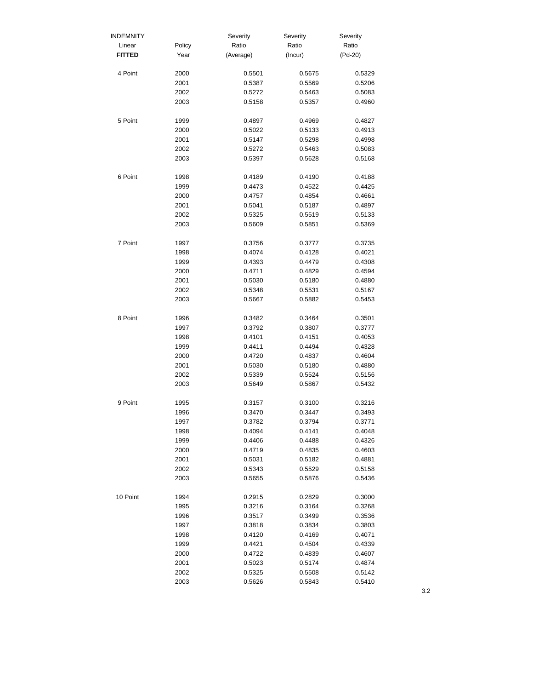| <b>INDEMNITY</b> |              | Severity         | Severity         | Severity         |
|------------------|--------------|------------------|------------------|------------------|
| Linear           | Policy       | Ratio            | Ratio            | Ratio            |
| <b>FITTED</b>    | Year         | (Average)        | (Incur)          | $(Pd-20)$        |
| 4 Point          | 2000         | 0.5501           | 0.5675           | 0.5329           |
|                  | 2001         | 0.5387           | 0.5569           | 0.5206           |
|                  | 2002         | 0.5272           | 0.5463           | 0.5083           |
|                  | 2003         | 0.5158           | 0.5357           | 0.4960           |
| 5 Point          | 1999         | 0.4897           | 0.4969           | 0.4827           |
|                  | 2000         | 0.5022           | 0.5133           | 0.4913           |
|                  | 2001         | 0.5147           | 0.5298           | 0.4998           |
|                  | 2002         | 0.5272           | 0.5463           | 0.5083           |
|                  | 2003         | 0.5397           | 0.5628           | 0.5168           |
| 6 Point          | 1998         | 0.4189           | 0.4190           | 0.4188           |
|                  | 1999         | 0.4473           | 0.4522           | 0.4425           |
|                  | 2000         | 0.4757           | 0.4854           | 0.4661           |
|                  | 2001         | 0.5041           | 0.5187           | 0.4897           |
|                  | 2002         | 0.5325           | 0.5519           | 0.5133           |
|                  | 2003         | 0.5609           | 0.5851           | 0.5369           |
| 7 Point          | 1997         | 0.3756           | 0.3777           | 0.3735           |
|                  | 1998         | 0.4074           | 0.4128           | 0.4021           |
|                  | 1999         | 0.4393           | 0.4479           | 0.4308           |
|                  | 2000         | 0.4711           | 0.4829           | 0.4594           |
|                  | 2001         | 0.5030           | 0.5180           | 0.4880           |
|                  | 2002         | 0.5348           | 0.5531           | 0.5167           |
|                  | 2003         | 0.5667           | 0.5882           | 0.5453           |
| 8 Point          | 1996         | 0.3482           | 0.3464           | 0.3501           |
|                  | 1997         | 0.3792           | 0.3807           | 0.3777           |
|                  | 1998         | 0.4101           | 0.4151           | 0.4053           |
|                  | 1999         | 0.4411           | 0.4494           | 0.4328           |
|                  | 2000         | 0.4720           | 0.4837           | 0.4604           |
|                  | 2001         | 0.5030           | 0.5180           | 0.4880           |
|                  | 2002         | 0.5339           | 0.5524           | 0.5156           |
|                  | 2003         | 0.5649           | 0.5867           | 0.5432           |
| 9 Point          | 1995         | 0.3157           | 0.3100           | 0.3216           |
|                  | 1996         | 0.3470           | 0.3447           | 0.3493           |
|                  | 1997         | 0.3782           | 0.3794           | 0.3771           |
|                  | 1998         | 0.4094           | 0.4141           | 0.4048           |
|                  | 1999         | 0.4406           | 0.4488           | 0.4326           |
|                  | 2000         | 0.4719           | 0.4835           | 0.4603           |
|                  | 2001         | 0.5031           | 0.5182           | 0.4881           |
|                  | 2002         | 0.5343           | 0.5529           | 0.5158           |
|                  | 2003         | 0.5655           | 0.5876           | 0.5436           |
| 10 Point         | 1994         | 0.2915           | 0.2829           | 0.3000           |
|                  | 1995         | 0.3216           | 0.3164           | 0.3268           |
|                  | 1996         | 0.3517           | 0.3499           | 0.3536           |
|                  | 1997         | 0.3818           | 0.3834           | 0.3803           |
|                  | 1998         | 0.4120           | 0.4169           | 0.4071           |
|                  | 1999         | 0.4421           | 0.4504           | 0.4339           |
|                  | 2000         | 0.4722           | 0.4839           | 0.4607           |
|                  | 2001         | 0.5023           | 0.5174           | 0.4874           |
|                  | 2002<br>2003 | 0.5325<br>0.5626 | 0.5508<br>0.5843 | 0.5142<br>0.5410 |
|                  |              |                  |                  |                  |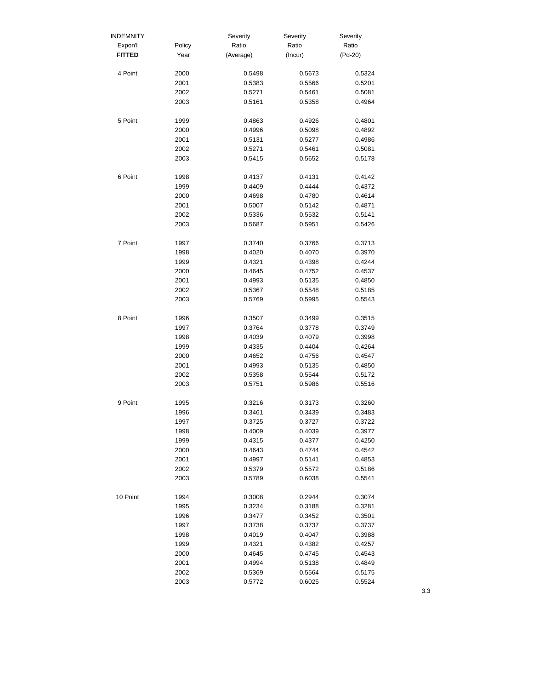| <b>INDEMNITY</b> |              | Severity         | Severity         | Severity         |
|------------------|--------------|------------------|------------------|------------------|
| Expon'l          | Policy       | Ratio            | Ratio            | Ratio            |
| <b>FITTED</b>    | Year         | (Average)        | (Incur)          | $(Pd-20)$        |
| 4 Point          | 2000         | 0.5498           | 0.5673           | 0.5324           |
|                  | 2001         | 0.5383           | 0.5566           | 0.5201           |
|                  | 2002         | 0.5271           | 0.5461           | 0.5081           |
|                  | 2003         | 0.5161           | 0.5358           | 0.4964           |
| 5 Point          | 1999         | 0.4863           | 0.4926           | 0.4801           |
|                  | 2000         | 0.4996           | 0.5098           | 0.4892           |
|                  | 2001         | 0.5131           | 0.5277           | 0.4986           |
|                  | 2002         | 0.5271           | 0.5461           | 0.5081           |
|                  | 2003         | 0.5415           | 0.5652           | 0.5178           |
| 6 Point          | 1998         | 0.4137           | 0.4131           | 0.4142           |
|                  | 1999         | 0.4409           | 0.4444           | 0.4372           |
|                  | 2000         | 0.4698           | 0.4780           | 0.4614           |
|                  | 2001         | 0.5007           | 0.5142           | 0.4871           |
|                  | 2002         | 0.5336           | 0.5532           | 0.5141           |
|                  | 2003         | 0.5687           | 0.5951           | 0.5426           |
| 7 Point          | 1997         | 0.3740           | 0.3766           | 0.3713           |
|                  | 1998         | 0.4020           | 0.4070           | 0.3970           |
|                  | 1999         | 0.4321           | 0.4398           | 0.4244           |
|                  | 2000         | 0.4645           | 0.4752           | 0.4537           |
|                  | 2001         | 0.4993           | 0.5135           | 0.4850           |
|                  | 2002         | 0.5367           | 0.5548           | 0.5185           |
|                  | 2003         | 0.5769           | 0.5995           | 0.5543           |
| 8 Point          | 1996         | 0.3507           | 0.3499           | 0.3515           |
|                  | 1997         | 0.3764           | 0.3778           | 0.3749           |
|                  | 1998         | 0.4039           | 0.4079           | 0.3998           |
|                  | 1999         | 0.4335           | 0.4404           | 0.4264           |
|                  | 2000         | 0.4652           | 0.4756           | 0.4547           |
|                  | 2001         | 0.4993           | 0.5135           | 0.4850           |
|                  | 2002         | 0.5358           | 0.5544           | 0.5172           |
|                  | 2003         | 0.5751           | 0.5986           | 0.5516           |
| 9 Point          | 1995         | 0.3216           | 0.3173           | 0.3260           |
|                  | 1996         | 0.3461           | 0.3439           | 0.3483           |
|                  | 1997         | 0.3725           | 0.3727           | 0.3722           |
|                  | 1998         | 0.4009           | 0.4039           | 0.3977           |
|                  | 1999         | 0.4315           | 0.4377           | 0.4250           |
|                  | 2000         | 0.4643           | 0.4744           | 0.4542           |
|                  | 2001         | 0.4997           | 0.5141           | 0.4853           |
|                  | 2002<br>2003 | 0.5379<br>0.5789 | 0.5572<br>0.6038 | 0.5186<br>0.5541 |
|                  |              |                  |                  |                  |
| 10 Point         | 1994         | 0.3008           | 0.2944           | 0.3074           |
|                  | 1995         | 0.3234           | 0.3188           | 0.3281           |
|                  | 1996         | 0.3477           | 0.3452           | 0.3501           |
|                  | 1997         | 0.3738           | 0.3737           | 0.3737           |
|                  | 1998         | 0.4019           | 0.4047           | 0.3988           |
|                  | 1999         | 0.4321           | 0.4382           | 0.4257           |
|                  | 2000         | 0.4645           | 0.4745           | 0.4543           |
|                  | 2001         | 0.4994           | 0.5138           | 0.4849           |
|                  | 2002         | 0.5369           | 0.5564           | 0.5175           |
|                  | 2003         | 0.5772           | 0.6025           | 0.5524           |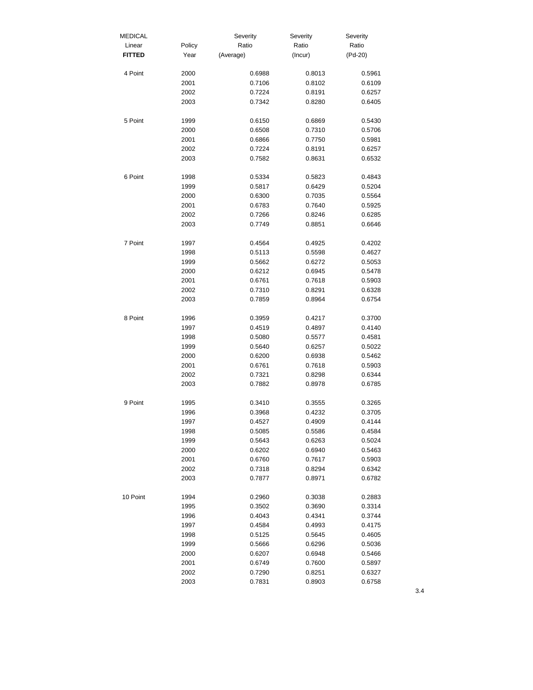| <b>MEDICAL</b> |              | Severity         | Severity         | Severity         |
|----------------|--------------|------------------|------------------|------------------|
| Linear         | Policy       | Ratio            | Ratio            | Ratio            |
| <b>FITTED</b>  | Year         | (Average)        | (Incur)          | (Pd-20)          |
| 4 Point        | 2000         | 0.6988           | 0.8013           | 0.5961           |
|                | 2001         | 0.7106           | 0.8102           | 0.6109           |
|                | 2002         | 0.7224           | 0.8191           | 0.6257           |
|                | 2003         | 0.7342           | 0.8280           | 0.6405           |
| 5 Point        | 1999         | 0.6150           | 0.6869           | 0.5430           |
|                | 2000         | 0.6508           | 0.7310           | 0.5706           |
|                | 2001         | 0.6866           | 0.7750           | 0.5981           |
|                | 2002         | 0.7224           | 0.8191           | 0.6257           |
|                | 2003         | 0.7582           | 0.8631           | 0.6532           |
|                |              |                  |                  |                  |
| 6 Point        | 1998         | 0.5334           | 0.5823           | 0.4843           |
|                | 1999         | 0.5817           | 0.6429           | 0.5204           |
|                | 2000         | 0.6300           | 0.7035           | 0.5564           |
|                | 2001         | 0.6783           | 0.7640           | 0.5925           |
|                | 2002<br>2003 | 0.7266<br>0.7749 | 0.8246<br>0.8851 | 0.6285<br>0.6646 |
|                |              |                  |                  |                  |
| 7 Point        | 1997         | 0.4564           | 0.4925           | 0.4202           |
|                | 1998         | 0.5113           | 0.5598           | 0.4627           |
|                | 1999         | 0.5662           | 0.6272           | 0.5053           |
|                | 2000         | 0.6212           | 0.6945           | 0.5478           |
|                | 2001         | 0.6761           | 0.7618           | 0.5903           |
|                | 2002         | 0.7310           | 0.8291           | 0.6328           |
|                | 2003         | 0.7859           | 0.8964           | 0.6754           |
| 8 Point        | 1996         | 0.3959           | 0.4217           | 0.3700           |
|                | 1997         | 0.4519           | 0.4897           | 0.4140           |
|                | 1998         | 0.5080           | 0.5577           | 0.4581           |
|                | 1999         | 0.5640           | 0.6257           | 0.5022           |
|                | 2000         | 0.6200           | 0.6938           | 0.5462           |
|                | 2001         | 0.6761           | 0.7618           | 0.5903           |
|                | 2002         | 0.7321           | 0.8298           | 0.6344           |
|                | 2003         | 0.7882           | 0.8978           | 0.6785           |
| 9 Point        | 1995         | 0.3410           | 0.3555           | 0.3265           |
|                | 1996         | 0.3968           | 0.4232           | 0.3705           |
|                | 1997         | 0.4527           | 0.4909           | 0.4144           |
|                | 1998         | 0.5085           | 0.5586           | 0.4584           |
|                | 1999         | 0.5643           | 0.6263           | 0.5024           |
|                | 2000         | 0.6202           | 0.6940           | 0.5463           |
|                | 2001         | 0.6760           | 0.7617           | 0.5903           |
|                | 2002         | 0.7318           | 0.8294           | 0.6342           |
|                | 2003         | 0.7877           | 0.8971           | 0.6782           |
| 10 Point       | 1994         | 0.2960           | 0.3038           | 0.2883           |
|                | 1995         | 0.3502           | 0.3690           | 0.3314           |
|                | 1996         | 0.4043           | 0.4341           | 0.3744           |
|                | 1997         | 0.4584           | 0.4993           | 0.4175           |
|                | 1998         | 0.5125           | 0.5645           | 0.4605           |
|                | 1999         | 0.5666           | 0.6296           | 0.5036           |
|                | 2000         | 0.6207           | 0.6948           | 0.5466           |
|                | 2001         | 0.6749           | 0.7600           | 0.5897           |
|                | 2002         | 0.7290           | 0.8251           | 0.6327           |
|                | 2003         | 0.7831           | 0.8903           | 0.6758           |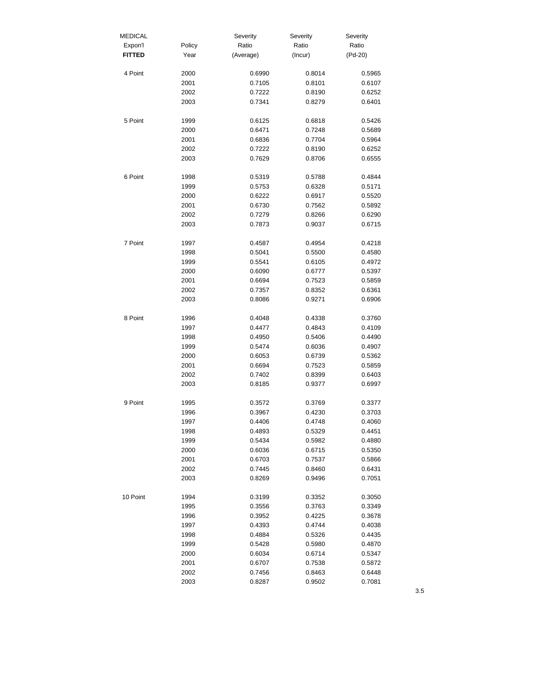| <b>MEDICAL</b> |        | Severity  | Severity | Severity  |
|----------------|--------|-----------|----------|-----------|
| Expon'l        | Policy | Ratio     | Ratio    | Ratio     |
| <b>FITTED</b>  | Year   | (Average) | (Incur)  | $(Pd-20)$ |
| 4 Point        | 2000   | 0.6990    | 0.8014   | 0.5965    |
|                | 2001   | 0.7105    | 0.8101   | 0.6107    |
|                | 2002   | 0.7222    | 0.8190   | 0.6252    |
|                | 2003   | 0.7341    | 0.8279   | 0.6401    |
| 5 Point        | 1999   | 0.6125    | 0.6818   | 0.5426    |
|                | 2000   | 0.6471    | 0.7248   | 0.5689    |
|                | 2001   | 0.6836    | 0.7704   | 0.5964    |
|                | 2002   | 0.7222    | 0.8190   | 0.6252    |
|                | 2003   | 0.7629    | 0.8706   | 0.6555    |
| 6 Point        | 1998   | 0.5319    | 0.5788   | 0.4844    |
|                | 1999   | 0.5753    | 0.6328   | 0.5171    |
|                | 2000   | 0.6222    | 0.6917   | 0.5520    |
|                | 2001   | 0.6730    | 0.7562   | 0.5892    |
|                | 2002   | 0.7279    | 0.8266   | 0.6290    |
|                | 2003   | 0.7873    | 0.9037   | 0.6715    |
| 7 Point        | 1997   | 0.4587    | 0.4954   | 0.4218    |
|                | 1998   | 0.5041    | 0.5500   | 0.4580    |
|                | 1999   | 0.5541    | 0.6105   | 0.4972    |
|                | 2000   | 0.6090    | 0.6777   | 0.5397    |
|                | 2001   | 0.6694    | 0.7523   | 0.5859    |
|                | 2002   | 0.7357    | 0.8352   | 0.6361    |
|                | 2003   | 0.8086    | 0.9271   | 0.6906    |
| 8 Point        | 1996   | 0.4048    | 0.4338   | 0.3760    |
|                | 1997   | 0.4477    | 0.4843   | 0.4109    |
|                | 1998   | 0.4950    | 0.5406   | 0.4490    |
|                | 1999   | 0.5474    | 0.6036   | 0.4907    |
|                | 2000   | 0.6053    | 0.6739   | 0.5362    |
|                | 2001   | 0.6694    | 0.7523   | 0.5859    |
|                | 2002   | 0.7402    | 0.8399   | 0.6403    |
|                | 2003   | 0.8185    | 0.9377   | 0.6997    |
| 9 Point        | 1995   | 0.3572    | 0.3769   | 0.3377    |
|                | 1996   | 0.3967    | 0.4230   | 0.3703    |
|                | 1997   | 0.4406    | 0.4748   | 0.4060    |
|                | 1998   | 0.4893    | 0.5329   | 0.4451    |
|                | 1999   | 0.5434    | 0.5982   | 0.4880    |
|                | 2000   | 0.6036    | 0.6715   | 0.5350    |
|                | 2001   | 0.6703    | 0.7537   | 0.5866    |
|                | 2002   | 0.7445    | 0.8460   | 0.6431    |
|                | 2003   | 0.8269    | 0.9496   | 0.7051    |
| 10 Point       | 1994   | 0.3199    | 0.3352   | 0.3050    |
|                | 1995   | 0.3556    | 0.3763   | 0.3349    |
|                | 1996   | 0.3952    | 0.4225   | 0.3678    |
|                | 1997   | 0.4393    | 0.4744   | 0.4038    |
|                | 1998   | 0.4884    | 0.5326   | 0.4435    |
|                | 1999   | 0.5428    | 0.5980   | 0.4870    |
|                | 2000   | 0.6034    | 0.6714   | 0.5347    |
|                | 2001   | 0.6707    | 0.7538   | 0.5872    |
|                | 2002   | 0.7456    | 0.8463   | 0.6448    |
|                | 2003   | 0.8287    | 0.9502   | 0.7081    |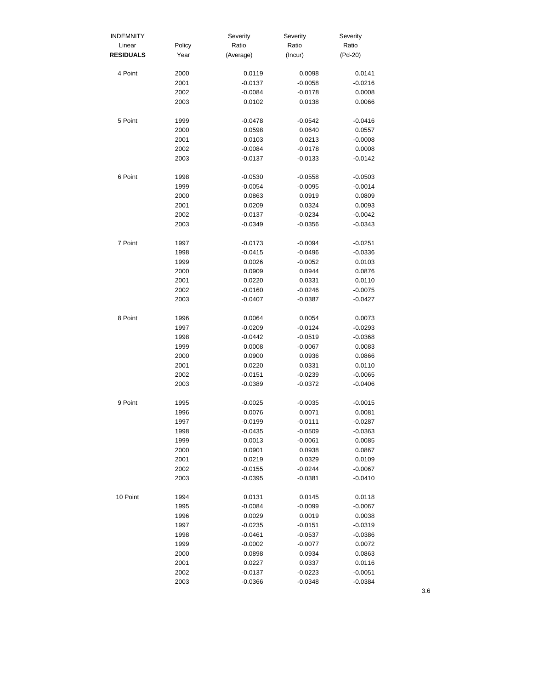| <b>INDEMNITY</b> |        | Severity  | Severity  | Severity  |
|------------------|--------|-----------|-----------|-----------|
| Linear           | Policy | Ratio     | Ratio     | Ratio     |
| <b>RESIDUALS</b> | Year   | (Average) | (Incur)   | (Pd-20)   |
| 4 Point          | 2000   | 0.0119    | 0.0098    | 0.0141    |
|                  | 2001   | $-0.0137$ | $-0.0058$ | $-0.0216$ |
|                  | 2002   | $-0.0084$ | $-0.0178$ | 0.0008    |
|                  | 2003   | 0.0102    | 0.0138    | 0.0066    |
| 5 Point          | 1999   | $-0.0478$ | $-0.0542$ | $-0.0416$ |
|                  | 2000   | 0.0598    | 0.0640    | 0.0557    |
|                  | 2001   | 0.0103    | 0.0213    | $-0.0008$ |
|                  | 2002   | $-0.0084$ | $-0.0178$ | 0.0008    |
|                  | 2003   | $-0.0137$ | $-0.0133$ | $-0.0142$ |
| 6 Point          | 1998   | $-0.0530$ | $-0.0558$ | $-0.0503$ |
|                  | 1999   | $-0.0054$ | $-0.0095$ | $-0.0014$ |
|                  | 2000   | 0.0863    | 0.0919    | 0.0809    |
|                  | 2001   | 0.0209    | 0.0324    | 0.0093    |
|                  | 2002   | $-0.0137$ | $-0.0234$ | $-0.0042$ |
|                  | 2003   | $-0.0349$ | $-0.0356$ | $-0.0343$ |
| 7 Point          | 1997   | $-0.0173$ | $-0.0094$ | $-0.0251$ |
|                  | 1998   | $-0.0415$ | $-0.0496$ | $-0.0336$ |
|                  | 1999   | 0.0026    | $-0.0052$ | 0.0103    |
|                  | 2000   | 0.0909    | 0.0944    | 0.0876    |
|                  | 2001   | 0.0220    | 0.0331    | 0.0110    |
|                  | 2002   | $-0.0160$ | $-0.0246$ | $-0.0075$ |
|                  | 2003   | $-0.0407$ | $-0.0387$ | $-0.0427$ |
| 8 Point          | 1996   | 0.0064    | 0.0054    | 0.0073    |
|                  | 1997   | $-0.0209$ | $-0.0124$ | $-0.0293$ |
|                  | 1998   | $-0.0442$ | $-0.0519$ | $-0.0368$ |
|                  | 1999   | 0.0008    | $-0.0067$ | 0.0083    |
|                  | 2000   | 0.0900    | 0.0936    | 0.0866    |
|                  | 2001   | 0.0220    | 0.0331    | 0.0110    |
|                  | 2002   | $-0.0151$ | $-0.0239$ | $-0.0065$ |
|                  | 2003   | $-0.0389$ | $-0.0372$ | $-0.0406$ |
| 9 Point          | 1995   | $-0.0025$ | $-0.0035$ | $-0.0015$ |
|                  | 1996   | 0.0076    | 0.0071    | 0.0081    |
|                  | 1997   | $-0.0199$ | $-0.0111$ | $-0.0287$ |
|                  | 1998   | $-0.0435$ | $-0.0509$ | $-0.0363$ |
|                  | 1999   | 0.0013    | $-0.0061$ | 0.0085    |
|                  | 2000   | 0.0901    | 0.0938    | 0.0867    |
|                  | 2001   | 0.0219    | 0.0329    | 0.0109    |
|                  | 2002   | $-0.0155$ | $-0.0244$ | $-0.0067$ |
|                  | 2003   | $-0.0395$ | $-0.0381$ | $-0.0410$ |
| 10 Point         | 1994   | 0.0131    | 0.0145    | 0.0118    |
|                  | 1995   | $-0.0084$ | $-0.0099$ | $-0.0067$ |
|                  | 1996   | 0.0029    | 0.0019    | 0.0038    |
|                  | 1997   | $-0.0235$ | $-0.0151$ | $-0.0319$ |
|                  | 1998   | $-0.0461$ | $-0.0537$ | $-0.0386$ |
|                  | 1999   | $-0.0002$ | $-0.0077$ | 0.0072    |
|                  | 2000   | 0.0898    | 0.0934    | 0.0863    |
|                  | 2001   | 0.0227    | 0.0337    | 0.0116    |
|                  | 2002   | $-0.0137$ | $-0.0223$ | $-0.0051$ |
|                  | 2003   | $-0.0366$ | $-0.0348$ | $-0.0384$ |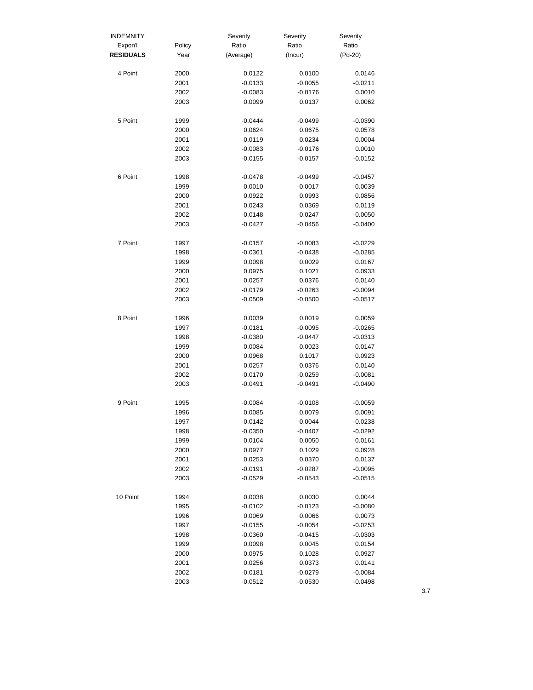| <b>INDEMNITY</b> |              | Severity            | Severity            | Severity            |
|------------------|--------------|---------------------|---------------------|---------------------|
| Expon'l          | Policy       | Ratio               | Ratio               | Ratio               |
| <b>RESIDUALS</b> | Year         | (Average)           | (Incur)             | (Pd-20)             |
| 4 Point          | 2000         | 0.0122              | 0.0100              | 0.0146              |
|                  | 2001         | $-0.0133$           | $-0.0055$           | $-0.0211$           |
|                  | 2002         | $-0.0083$           | $-0.0176$           | 0.0010              |
|                  | 2003         | 0.0099              | 0.0137              | 0.0062              |
| 5 Point          | 1999         | $-0.0444$           | $-0.0499$           | $-0.0390$           |
|                  | 2000         | 0.0624              | 0.0675              | 0.0578              |
|                  | 2001         | 0.0119              | 0.0234              | 0.0004              |
|                  | 2002         | $-0.0083$           | $-0.0176$           | 0.0010              |
|                  | 2003         | $-0.0155$           | $-0.0157$           | $-0.0152$           |
| 6 Point          | 1998         | -0.0478             | $-0.0499$           | $-0.0457$           |
|                  | 1999         | 0.0010              | $-0.0017$           | 0.0039              |
|                  | 2000         | 0.0922              | 0.0993              | 0.0856              |
|                  | 2001         | 0.0243              | 0.0369              | 0.0119              |
|                  | 2002         | $-0.0148$           | $-0.0247$           | $-0.0050$           |
|                  | 2003         | $-0.0427$           | -0.0456             | $-0.0400$           |
| 7 Point          | 1997         | $-0.0157$           | $-0.0083$           | $-0.0229$           |
|                  | 1998         | $-0.0361$           | $-0.0438$           | $-0.0285$           |
|                  | 1999         | 0.0098              | 0.0029              | 0.0167              |
|                  | 2000         | 0.0975              | 0.1021              | 0.0933              |
|                  | 2001         | 0.0257              | 0.0376              | 0.0140              |
|                  | 2002         | $-0.0179$           | $-0.0263$           | $-0.0094$           |
|                  | 2003         | $-0.0509$           | $-0.0500$           | $-0.0517$           |
| 8 Point          | 1996         | 0.0039              | 0.0019              | 0.0059              |
|                  | 1997         | $-0.0181$           | $-0.0095$           | $-0.0265$           |
|                  | 1998         | $-0.0380$           | $-0.0447$           | $-0.0313$           |
|                  | 1999         | 0.0084              | 0.0023              | 0.0147              |
|                  | 2000         | 0.0968              | 0.1017              | 0.0923              |
|                  | 2001         | 0.0257              | 0.0376              | 0.0140              |
|                  | 2002         | $-0.0170$           | $-0.0259$           | $-0.0081$           |
|                  | 2003         | $-0.0491$           | $-0.0491$           | $-0.0490$           |
| 9 Point          | 1995         | $-0.0084$           | $-0.0108$           | $-0.0059$           |
|                  | 1996         | 0.0085              | 0.0079              | 0.0091              |
|                  | 1997         | $-0.0142$           | $-0.0044$           | $-0.0238$           |
|                  | 1998         | $-0.0350$           | $-0.0407$           | $-0.0292$           |
|                  | 1999         | 0.0104              | 0.0050              | 0.0161              |
|                  | 2000         | 0.0977              | 0.1029              | 0.0928              |
|                  | 2001         | 0.0253              | 0.0370              | 0.0137              |
|                  | 2002         | $-0.0191$           | $-0.0287$           | $-0.0095$           |
|                  | 2003         | $-0.0529$           | $-0.0543$           | $-0.0515$           |
| 10 Point         | 1994         | 0.0038              | 0.0030              | 0.0044              |
|                  | 1995         | $-0.0102$           | $-0.0123$           | $-0.0080$           |
|                  | 1996         | 0.0069              | 0.0066              | 0.0073              |
|                  | 1997         | $-0.0155$           | $-0.0054$           | $-0.0253$           |
|                  | 1998         | $-0.0360$           | $-0.0415$           | $-0.0303$           |
|                  | 1999         | 0.0098              | 0.0045              | 0.0154              |
|                  | 2000<br>2001 | 0.0975              | 0.1028              | 0.0927              |
|                  | 2002         | 0.0256<br>$-0.0181$ | 0.0373<br>$-0.0279$ | 0.0141<br>$-0.0084$ |
|                  | 2003         | $-0.0512$           | $-0.0530$           | $-0.0498$           |
|                  |              |                     |                     |                     |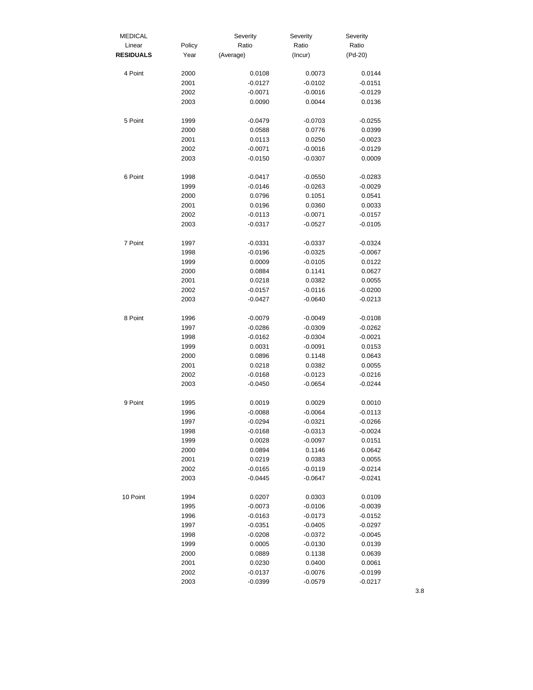| <b>MEDICAL</b>   |        | Severity  | Severity  | Severity  |
|------------------|--------|-----------|-----------|-----------|
| Linear           | Policy | Ratio     | Ratio     | Ratio     |
| <b>RESIDUALS</b> | Year   | (Average) | (Incur)   | (Pd-20)   |
| 4 Point          | 2000   | 0.0108    | 0.0073    | 0.0144    |
|                  | 2001   | $-0.0127$ | $-0.0102$ | $-0.0151$ |
|                  | 2002   | $-0.0071$ | $-0.0016$ | $-0.0129$ |
|                  | 2003   | 0.0090    | 0.0044    | 0.0136    |
| 5 Point          | 1999   | $-0.0479$ | $-0.0703$ | $-0.0255$ |
|                  | 2000   | 0.0588    | 0.0776    | 0.0399    |
|                  | 2001   | 0.0113    | 0.0250    | $-0.0023$ |
|                  | 2002   | $-0.0071$ | $-0.0016$ | $-0.0129$ |
|                  | 2003   | $-0.0150$ | $-0.0307$ | 0.0009    |
| 6 Point          | 1998   | $-0.0417$ | $-0.0550$ | $-0.0283$ |
|                  | 1999   | $-0.0146$ | $-0.0263$ | $-0.0029$ |
|                  | 2000   | 0.0796    | 0.1051    | 0.0541    |
|                  | 2001   | 0.0196    | 0.0360    | 0.0033    |
|                  | 2002   | $-0.0113$ | $-0.0071$ | $-0.0157$ |
|                  | 2003   | $-0.0317$ | $-0.0527$ | $-0.0105$ |
| 7 Point          | 1997   | $-0.0331$ | $-0.0337$ | $-0.0324$ |
|                  | 1998   | $-0.0196$ | $-0.0325$ | $-0.0067$ |
|                  | 1999   | 0.0009    | $-0.0105$ | 0.0122    |
|                  | 2000   | 0.0884    | 0.1141    | 0.0627    |
|                  | 2001   | 0.0218    | 0.0382    | 0.0055    |
|                  | 2002   | $-0.0157$ | $-0.0116$ | $-0.0200$ |
|                  | 2003   | $-0.0427$ | $-0.0640$ | $-0.0213$ |
| 8 Point          | 1996   | $-0.0079$ | $-0.0049$ | $-0.0108$ |
|                  | 1997   | $-0.0286$ | $-0.0309$ | $-0.0262$ |
|                  | 1998   | $-0.0162$ | $-0.0304$ | $-0.0021$ |
|                  | 1999   | 0.0031    | $-0.0091$ | 0.0153    |
|                  | 2000   | 0.0896    | 0.1148    | 0.0643    |
|                  | 2001   | 0.0218    | 0.0382    | 0.0055    |
|                  | 2002   | $-0.0168$ | $-0.0123$ | $-0.0216$ |
|                  | 2003   | $-0.0450$ | $-0.0654$ | $-0.0244$ |
| 9 Point          | 1995   | 0.0019    | 0.0029    | 0.0010    |
|                  | 1996   | $-0.0088$ | $-0.0064$ | $-0.0113$ |
|                  | 1997   | $-0.0294$ | $-0.0321$ | $-0.0266$ |
|                  | 1998   | -0.0168   | $-0.0313$ | $-0.0024$ |
|                  | 1999   | 0.0028    | $-0.0097$ | 0.0151    |
|                  | 2000   | 0.0894    | 0.1146    | 0.0642    |
|                  | 2001   | 0.0219    | 0.0383    | 0.0055    |
|                  | 2002   | $-0.0165$ | $-0.0119$ | $-0.0214$ |
|                  | 2003   | $-0.0445$ | $-0.0647$ | $-0.0241$ |
| 10 Point         | 1994   | 0.0207    | 0.0303    | 0.0109    |
|                  | 1995   | $-0.0073$ | $-0.0106$ | $-0.0039$ |
|                  | 1996   | $-0.0163$ | $-0.0173$ | $-0.0152$ |
|                  | 1997   | $-0.0351$ | $-0.0405$ | $-0.0297$ |
|                  | 1998   | $-0.0208$ | $-0.0372$ | $-0.0045$ |
|                  | 1999   | 0.0005    | $-0.0130$ | 0.0139    |
|                  | 2000   | 0.0889    | 0.1138    | 0.0639    |
|                  | 2001   | 0.0230    | 0.0400    | 0.0061    |
|                  | 2002   | $-0.0137$ | $-0.0076$ | $-0.0199$ |
|                  | 2003   | $-0.0399$ | $-0.0579$ | $-0.0217$ |